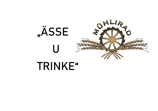

# **TRINKE"**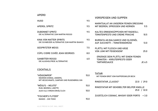#### **APERO**

|                                                                         |     | <b>VORSPEISEN UND SUPPEN</b>                                                         |        |
|-------------------------------------------------------------------------|-----|--------------------------------------------------------------------------------------|--------|
| <b>HUGO</b>                                                             | 9.5 |                                                                                      |        |
| APEROL SPRITZ                                                           | 9.5 | MARKTSALAT AN UNSEREM FEINEN DRESSING<br>MIT BEEREN, SPROSSEN UND KERNEN             | 11.5   |
| <b>DUBONNET SPRITZ</b><br>DIE ALTERNATIVE ZUM MARTINI ROSSO             | 9.5 | KALTES ERBSENSÜPPCHEN MIT RADIESLI,<br><b>TOMATENPESTO UND CREME FRAICHE</b>         | 10.5   |
| KINA VON MATTER SPIRITS<br>DIE SCHWEIZER ALTERNATIVE ZUM MARTINI BIANCO | 9.5 | BURRATA AN BALSAMICO UND OLIVENÖL<br>AUF ZUCCHETTI - TOMATENGEMÜSE                   | 13.0   |
| <b>GESPRITZTER WEISS</b>                                                | 7.5 | PLÄTTLI MIT FLEISCH UND KÄSE                                                         |        |
| CÜPLI CIDRE CUVÉE JEAN GEORGES                                          | 8.0 | <b>VON JUMI MIT FEIGENSENF</b>                                                       | 25.0   |
| <b>SANBITTER ROSSO</b><br>DIE ALKOHOLFREIE ALTERNATIVE                  | 6.0 | ERGÄNZE DEIN PLÄTTLI MIT EINEM FEINEN<br>TOMATEN - KRÄUTERPESTO ODER<br>TARTARESAUCE | JE 6.5 |
|                                                                         |     |                                                                                      |        |

# **COCKTAILS**

| "HÖIIGÜMPER"<br>NEGRONI EINMAL ANDERS,    |      | <b>TATAR</b><br>MIT FEINEM BROT VOM RAPPERSWILER BECK  |  |
|-------------------------------------------|------|--------------------------------------------------------|--|
| MIT HEUSCHNAPS, CAMPARI UND RUGENBRÄU GIN |      | RINDSTATAR "CLASSIC"<br>22.0 / 29.0                    |  |
| "MÖSU'S – MOJITO"<br>RUM, BEEREN, LIMETTE | 15.0 | RINDSTATAR MIT GEHOBELTER BELPER KNOLLE<br>25.0 / 32.0 |  |
| AUCH ALS VIRGIN ERHÄLTLICH                | 10.0 |                                                        |  |
| "FISCHER'S FLITZER"<br>MANGO - GIN TONIC  | 15.0 | ZUSÄTZLICH COGNAC, WHISKY ODER PORTO<br>$+3.0$         |  |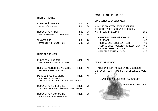#### **BIER OFFENZAPF**

| RUGENBRÄU ZWICKEL           | 3 DL   | 4.8    |
|-----------------------------|--------|--------|
| NATURTRÜB, MALZIG           | 5 DL   | 7.0    |
| RUGENBRÄU AMBER             | 3 DL   | 5.5    |
| KARAMELLNUANCEN, VOLLMUNDIG | 5 DL   | 75     |
| "INGWERIER"                 | 3 DL   | 88     |
| OFFENBIER MIT INGWERLIKÖR   | 5 DI - | - 14.5 |

### **BIER FLASCHEN**

| RUGENBRÄU HARDER<br><b>VERLOCKEND, ERFRISCHEND, STARK</b>                                  | 33CL | 7.5 |
|--------------------------------------------------------------------------------------------|------|-----|
| HOFBRÄU MÜNCHNER WEISSBIER<br>PRICKELND, SPRITZIG, ELEGANT                                 | 50CL | 75  |
| MÖHL JUICY APPLE CIDRE<br>HONIGMELONEN - AROMA<br>UND EINE ERFRISCHEND FRUCHTIG-SÜSSE NOTE | 33CL | 7.5 |
| RUGENBRÄU ALPENPERLE<br>LIEBLICH, LEICHT UND SÜFFIG MIT 30% MAISANTEIL                     | 33CL | 5.0 |
| RUGENBRÄU ALKOHOLFREI<br>HARMONISCH UND ABGERUNDET                                         | 33CL | 5 N |

## **"MÜHLIRAD SPECIALS"**

**EINE SCHÜSSEL VOLL SALAT...**

| KNACKIGE BLATTSALATE MIT BEEREN,<br>GERÖSTETEN KERNEN UND SPROSSEN |         |
|--------------------------------------------------------------------|---------|
| AN HIMBEERDRESSING                                                 | 25.0    |
|                                                                    |         |
| + GEHOBELTE BELPER KNOLLE                                          | $+3.0$  |
| + BURRATA                                                          | $+6.5$  |
| + GEBRATENE FORELLENFILETS                                         | $+9.0$  |
| + GEBRATENES POULETSCHENKELSTEAK                                   | $+8.0$  |
| + RINDSSTREIFEN VON JUMI                                           | $+12.0$ |
| + KALBFLEISCHTRANCHEN                                              | +9.0    |

**"S' METZGERSTÜCK"**

IN ABSPRACHE MIT UNSEREN METZGEREIEN BIETEN WIR EUCH IMMER EIN SPEZIELLES STÜCK AN...

...WIR GEBEN EUCH GERNE AUSKUNFT

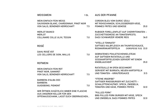WEISSWEIN

| <b>WEIN EINFACH FEIN WEISS</b><br>SAUVIGNON BLANC, CHARDONNAY, PINOT NOIR<br>VON SALIS, BÜNDNER HERRSCHAFT       | 7.5 | <b>CORDON BLEU VOM DUROC SÄULI</b><br>MIT ROHSCHINKEN, SCHLOSSBERGER KÄSE,<br>POMMES FRITES UND GEMÜSE                               | 35.0 |
|------------------------------------------------------------------------------------------------------------------|-----|--------------------------------------------------------------------------------------------------------------------------------------|------|
| <b>MERLOT BIANCO</b><br><b>MERLOT</b><br>COLLINARE COLLE ULIVI, TESSIN                                           | 7.0 | <b>RUBIGER FORELLENFILET AUF CHERRYTOMATEN -</b><br>ZUCCHETTIGEMÜSE AN TOMATENPESTO,<br><b>DAZU SCHWARZER VENERE REIS</b>            | 36.0 |
| <b>ROSÉ</b>                                                                                                      |     | "VITELLO TONNATO"<br>SAFTIGES KALBFLEISCH AN THUNFISCHSAUCE,<br><b>ROSMARINKARTOFFELN</b><br>(VORSPEISE 15.0) 33.0                   |      |
| <b>DAHU ROSÉ VDT</b><br>LES CELLIERS DE SION, WALLIS                                                             | 7.0 | <b>GEBRATENES POULETSCHENKELSTEAK</b><br>AUF SAFTIGEM RATATOUILLE UND<br>SÜSSKARTOFFELECKEN SERVIERT MIT EINEM                       |      |
| <b>ROTWEIN</b>                                                                                                   |     | <b>KNOBLAUCHDIP</b>                                                                                                                  | 35.0 |
| <b>WEIN EINFACH FEIN ROT</b><br>PINOT NOIR, GAMARET<br>VON SALIS, BÜNDNER HERRSCHAFT                             | 7.5 | RATATOUILLE IM OFEN GESCHMORT<br>SERVIERT MIT BURRATA, NEUEN KARTOFFELN<br>UND TOMATEN - KRÄUTERSAUCE                                | 31.5 |
| <b>BARBERA D'ALBA DOC</b><br><b>BARBERA</b><br>GUIDOBONO, PIEMONT                                                | 7.0 | "ITTE'ME IRGER'BE"<br>SAFTIGER RINDSBURGER MIT ZUCCHETTI -<br>SCHALOTTENCHUTNEY, SPECK, ZWIEBELN,<br>TOMATEN UND KÄSE, POMMES FRITES | 32.0 |
| WIR ÖFFNEN ZUSÄTZLICH IMMER EINE FLASCHE<br>AUS UNSEREM KELLER FÜR DEN<br>OFFENAUSSCHANK, LASST EUCH ÜBERRASCHEN |     | "PULLED PORK"<br>BBQ PULLED PORK BURGER MIT KÄSE, SPECK<br>UND ZWIEBELN, DAZU POMMES FRITES                                          | 32.0 |

1 DL

**AUS DER PFANNE**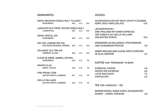## **GEBRANNTES**

# **SÜSSES**

| SWISS MOUNTAIN SINGLE MALT "CLASSIC"<br><b>RUGENBRÄU</b><br>46%<br>4 CL |                                                           |     |      | 15.0 | SCHOGGIKÜCHLEIN MIT NOCH LEICHT FLÜSSIGEM<br><b>KERN, DAZU VANILLEGLACE</b> | 13.0              |
|-------------------------------------------------------------------------|-----------------------------------------------------------|-----|------|------|-----------------------------------------------------------------------------|-------------------|
|                                                                         | LANGATUN OLD CROW, PEATED SINGLE MALT<br>LANGENTHAL       | 46% | 4 CL | 13.0 | "DESSERTMUFFEL"<br><b>ZWEI PRALINEN MIT EINEM ESPRESSO</b>                  |                   |
|                                                                         | <b>SWISS CRISTAL GIN</b><br><b>RUGENBRÄU</b>              | 46% | 4 CL | 12.0 | UND EINEM GLAS VIEILLE WILLIAMS<br><b>VON MATTER SPIRITS</b>                | 13.0              |
|                                                                         | DOC GIN, LONDON DRY GIN<br>GIN HOUSE BRUGGER, OBERWIL     | 42% | 4 CL | 14.0 | ERDBEEREN AN BALSAMICO, PFEFFERMINZE<br><b>UND SCHWARZEM PFEFFER</b>        | 9.8               |
|                                                                         | <b>ICELANDIC OLD TOM GIN</b><br>HIMBRIMI, ISLAND          | 40% | 4 CL | 13.0 | IMMER WECHSELNDE KLEINE KÖSTLICHKEITEN<br><b>IM GLAS SERVIERT</b>           | 6.5               |
| FLEUR DE BIÈRE, BARREL EDITION                                          |                                                           |     |      |      |                                                                             |                   |
|                                                                         | <b>RUGENBRÄU</b>                                          | 43% | 2 CL | 9.0  | <b>KAFFEE VOM "FERDINAND" IN BERN</b>                                       |                   |
|                                                                         | <b>GRAPPA ELISI</b>                                       |     |      |      |                                                                             |                   |
|                                                                         | <b>BERTA, ITALIEN</b>                                     | 43% | 2 CL | 9.0  | <b>ESPRESSO, KAFFEE</b>                                                     | 4.8               |
|                                                                         | <b>FINE PRUNE LÖHR</b><br>MATTER SPIRITS, AARBERG         | 41% | 2 CL | 9.0  | <b>DOPPELTER ESPRESSO</b><br><b>LATTE MACCHIATO</b><br><b>CAPPUCCINO</b>    | 6.8<br>7.0<br>6.5 |
|                                                                         | <b>VIEILLE WILLIAMS</b><br><b>MATTER SPIRITS, AARBERG</b> | 43% | 2 CL | 9.0  | TEE VOM LÄNGGASS - TEE                                                      |                   |

BERNER ROSEN, QIMEN HAOYA (SCHWARZTEE) GINGER – LEMON, VERVEINE 4.8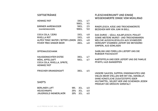#### **SOFTGETRÄNKE**

| <b>HENNIEZ ROT</b>                                                                                                                                         | 33CL 4.7                     |     |  |
|------------------------------------------------------------------------------------------------------------------------------------------------------------|------------------------------|-----|--|
|                                                                                                                                                            | 100CL 9.5                    |     |  |
| <b>BÄRNER AAREWASSER</b>                                                                                                                                   | 50CL 2.5                     |     |  |
| (HAHNENWASSER)                                                                                                                                             | 100CL 5.0                    |     |  |
| <b>COCA COLA / ZERO</b>                                                                                                                                    | 33CL 4.8                     |     |  |
| <b>RIVELLA ROT</b>                                                                                                                                         | 33CL 4.8                     |     |  |
| ALPEX TONIC WATER / BITTER LEMON 20CL 4.8                                                                                                                  |                              |     |  |
| <b>FEVER TREE GINGER BEER</b>                                                                                                                              | 20CL 4.8                     |     |  |
| <b>OFFENAUSSCHANK</b><br><b>HAUSGEMACHTER EISTEE</b><br>MÖHL APFELSAFT<br>COCA COLA, RIVELLA, SPRITE,<br><b>HENNIEZ ROT</b><br><b>FRISCHER ORANGENSAFT</b> | 30CL 4.7<br>50CL 6.7<br>30CL | 6.5 |  |
| <b>SHOT'S</b>                                                                                                                                              |                              |     |  |
| <b>BERLINER LUFT</b>                                                                                                                                       | 18% 2CL 6.0                  |     |  |
| <b>HEUSCHNAPS</b>                                                                                                                                          | 25% 2CL 6.0                  |     |  |
| JINJERGOLD INGWERLIKÖR                                                                                                                                     | 20% 2CL                      | 6.0 |  |
|                                                                                                                                                            |                              |     |  |

## **FLEISCHHERKUNFT UND EINIGE WISSENSWERTE DINGE VOM MÜHLIRAD**

RINDFLEISCH, KÄSE UND TROCKENWÜRSTE BEZIEHEN WIR VON JUMI IN BOLL

- DAS DUROC SÄULI, KALBFLEISCH, POULET
- SOWIE WEITERE WURST- UND TROCKENWAREN
- WELCHE AUSSCHLIESSLICH AUS SCHWEIZER
- HERKUNFT STAMMEN LIEFERT DIE METZGEREI SIMPERL AUS GÜMLIGEN

#### SAIBLING UND FORELLEN LIEFERT UNS DIE RUBIGER FISCHZUCHT

KARTOFFELN UND EIER LIEFERT UNS DIE FAMILIE PFÄFFLI AUS BANGERTEN

UNSERE SAUCEN, SUPPEN, EINGEMACHTES UND VIELES MEHR STELLEN WIR MIT VIEL HERZBLUT, OHNE KÜNSTLICHE ZUSATZSTOFFE ODER HILFSMITTEL, SELBST HER UND SCHENKEN JEDEM PRODUKT DIE GRÖSSTE SORGFALT.